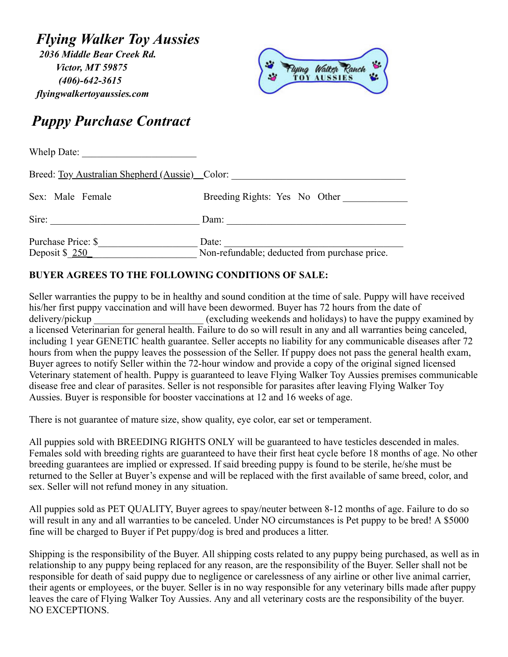*Flying Walker Toy Aussies 2036 Middle Bear Creek Rd. Victor, MT 59875 (406)-642-3615 flyingwalkertoyaussies.com* 



## *Puppy Purchase Contract*

| Whelp Date:                                    |                                               |
|------------------------------------------------|-----------------------------------------------|
| Breed: Toy Australian Shepherd (Aussie) Color: |                                               |
| Sex: Male Female                               | Breeding Rights: Yes No Other                 |
| Sire:                                          | Dam:                                          |
| Purchase Price: \$                             | Date:                                         |
| Deposit $\underline{\$250}$                    | Non-refundable; deducted from purchase price. |

## **BUYER AGREES TO THE FOLLOWING CONDITIONS OF SALE:**

Seller warranties the puppy to be in healthy and sound condition at the time of sale. Puppy will have received his/her first puppy vaccination and will have been dewormed. Buyer has 72 hours from the date of delivery/pickup (excluding weekends and holidays) to have the puppy examined by a licensed Veterinarian for general health. Failure to do so will result in any and all warranties being canceled, including 1 year GENETIC health guarantee. Seller accepts no liability for any communicable diseases after 72 hours from when the puppy leaves the possession of the Seller. If puppy does not pass the general health exam, Buyer agrees to notify Seller within the 72-hour window and provide a copy of the original signed licensed Veterinary statement of health. Puppy is guaranteed to leave Flying Walker Toy Aussies premises communicable disease free and clear of parasites. Seller is not responsible for parasites after leaving Flying Walker Toy Aussies. Buyer is responsible for booster vaccinations at 12 and 16 weeks of age.

There is not guarantee of mature size, show quality, eye color, ear set or temperament.

All puppies sold with BREEDING RIGHTS ONLY will be guaranteed to have testicles descended in males. Females sold with breeding rights are guaranteed to have their first heat cycle before 18 months of age. No other breeding guarantees are implied or expressed. If said breeding puppy is found to be sterile, he/she must be returned to the Seller at Buyer's expense and will be replaced with the first available of same breed, color, and sex. Seller will not refund money in any situation.

All puppies sold as PET QUALITY, Buyer agrees to spay/neuter between 8-12 months of age. Failure to do so will result in any and all warranties to be canceled. Under NO circumstances is Pet puppy to be bred! A \$5000 fine will be charged to Buyer if Pet puppy/dog is bred and produces a litter.

Shipping is the responsibility of the Buyer. All shipping costs related to any puppy being purchased, as well as in relationship to any puppy being replaced for any reason, are the responsibility of the Buyer. Seller shall not be responsible for death of said puppy due to negligence or carelessness of any airline or other live animal carrier, their agents or employees, or the buyer. Seller is in no way responsible for any veterinary bills made after puppy leaves the care of Flying Walker Toy Aussies. Any and all veterinary costs are the responsibility of the buyer. NO EXCEPTIONS.